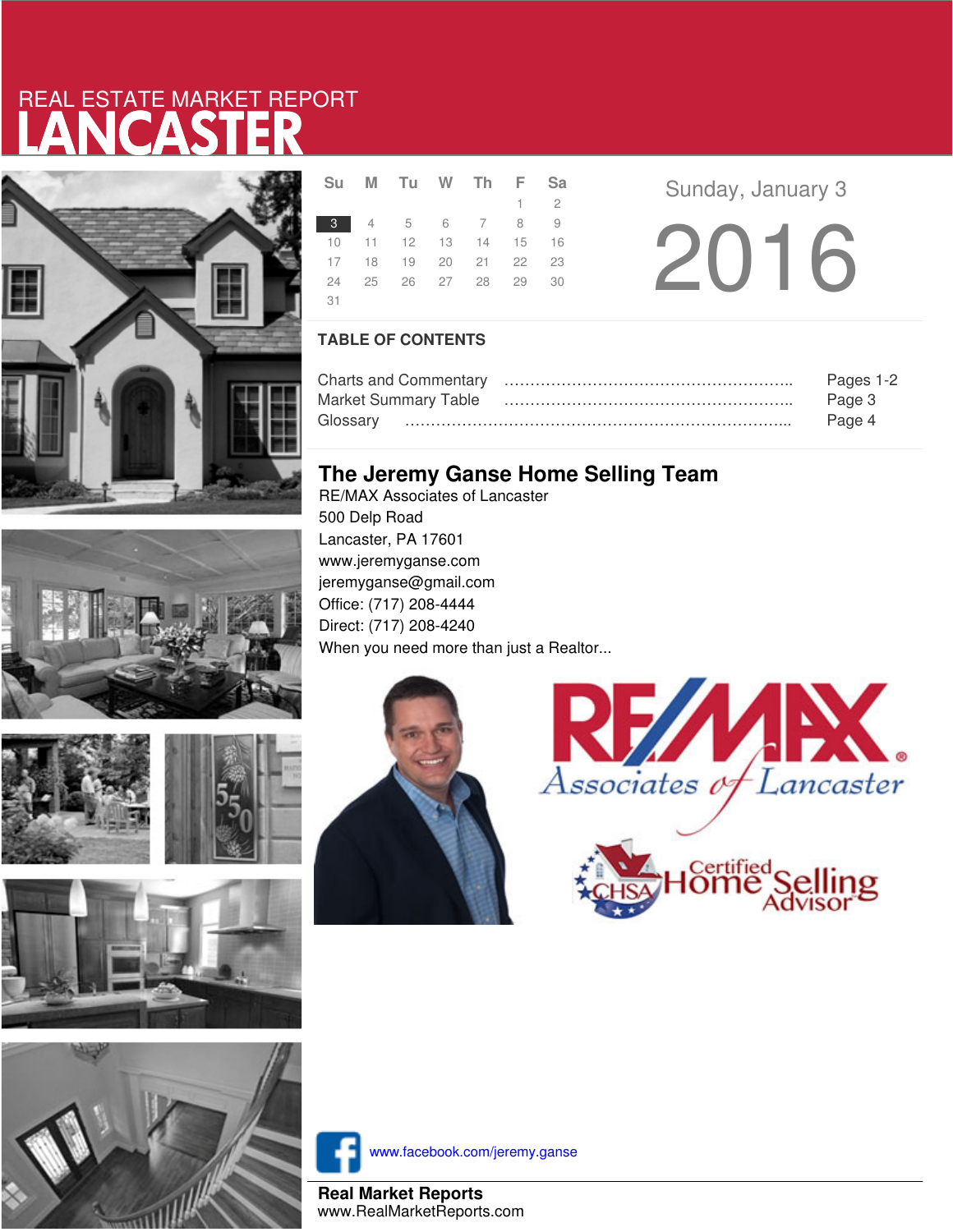# LANCASTER REAL ESTATE MARKET REPORT











|      | Su M Tu W Th F Sa                |  |             |  |
|------|----------------------------------|--|-------------|--|
|      |                                  |  | $1 \quad 2$ |  |
|      | 3 4 5 6 7 8 9                    |  |             |  |
|      | 10 11 12 13 14 15 16             |  |             |  |
|      | 17 18 19 20 21 22 23             |  |             |  |
|      | 24   25   26   27   28   29   30 |  |             |  |
| - 31 |                                  |  |             |  |

**Sunday, January 3** 2016

### **TABLE OF CONTENTS**

|                             | Pages 1-2 |
|-----------------------------|-----------|
| <b>Market Summary Table</b> | Page 3    |
|                             | Page 4    |

## **The Jeremy Ganse Home Selling Team**

RE/MAX Associates of Lancaster 500 Delp Road Lancaster, PA 17601 www.jeremyganse.com jeremyganse@gmail.com Office: (717) 208-4444 Direct: (717) 208-4240 When you need more than just a Realtor...







www.facebook.com/jeremy.ganse

**Real Market Reports** www.RealMarketReports.com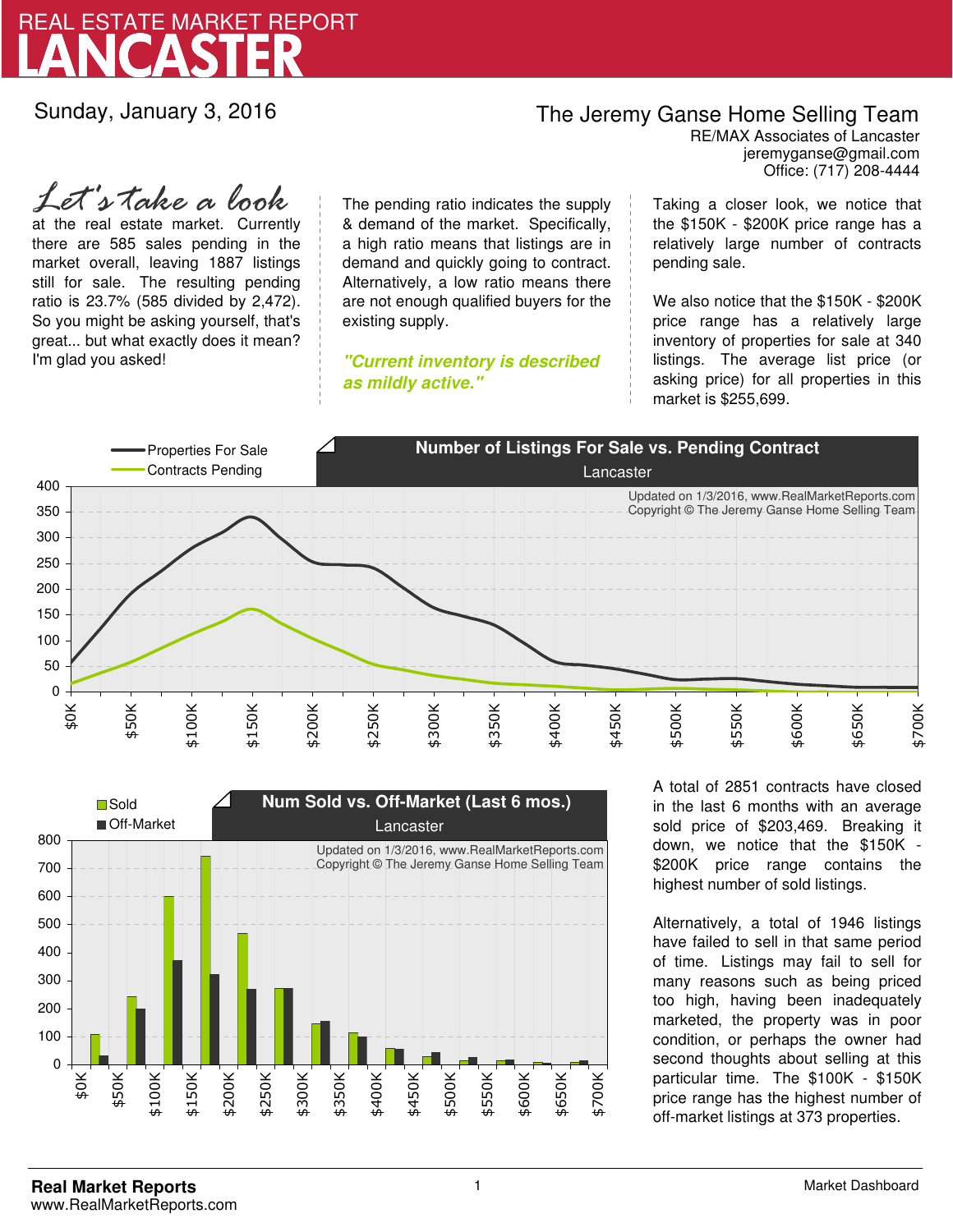

Sunday, January 3, 2016

## The Jeremy Ganse Home Selling Team

jeremyganse@gmail.com RE/MAX Associates of Lancaster Office: (717) 208-4444

at the real estate market. Currently there are 585 sales pending in the market overall, leaving 1887 listings still for sale. The resulting pending ratio is 23.7% (585 divided by 2,472). So you might be asking yourself, that's great... but what exactly does it mean? I'm glad you asked! *Let's take a look*

The pending ratio indicates the supply & demand of the market. Specifically, a high ratio means that listings are in demand and quickly going to contract. Alternatively, a low ratio means there are not enough qualified buyers for the existing supply.

**"Current inventory is described as mildly active."**

Taking a closer look, we notice that the \$150K - \$200K price range has a relatively large number of contracts pending sale.

We also notice that the \$150K - \$200K price range has a relatively large inventory of properties for sale at 340 listings. The average list price (or asking price) for all properties in this market is \$255,699.





A total of 2851 contracts have closed in the last 6 months with an average sold price of \$203,469. Breaking it down, we notice that the \$150K - \$200K price range contains the highest number of sold listings.

Alternatively, a total of 1946 listings have failed to sell in that same period of time. Listings may fail to sell for many reasons such as being priced too high, having been inadequately marketed, the property was in poor condition, or perhaps the owner had second thoughts about selling at this particular time. The \$100K - \$150K price range has the highest number of off-market listings at 373 properties.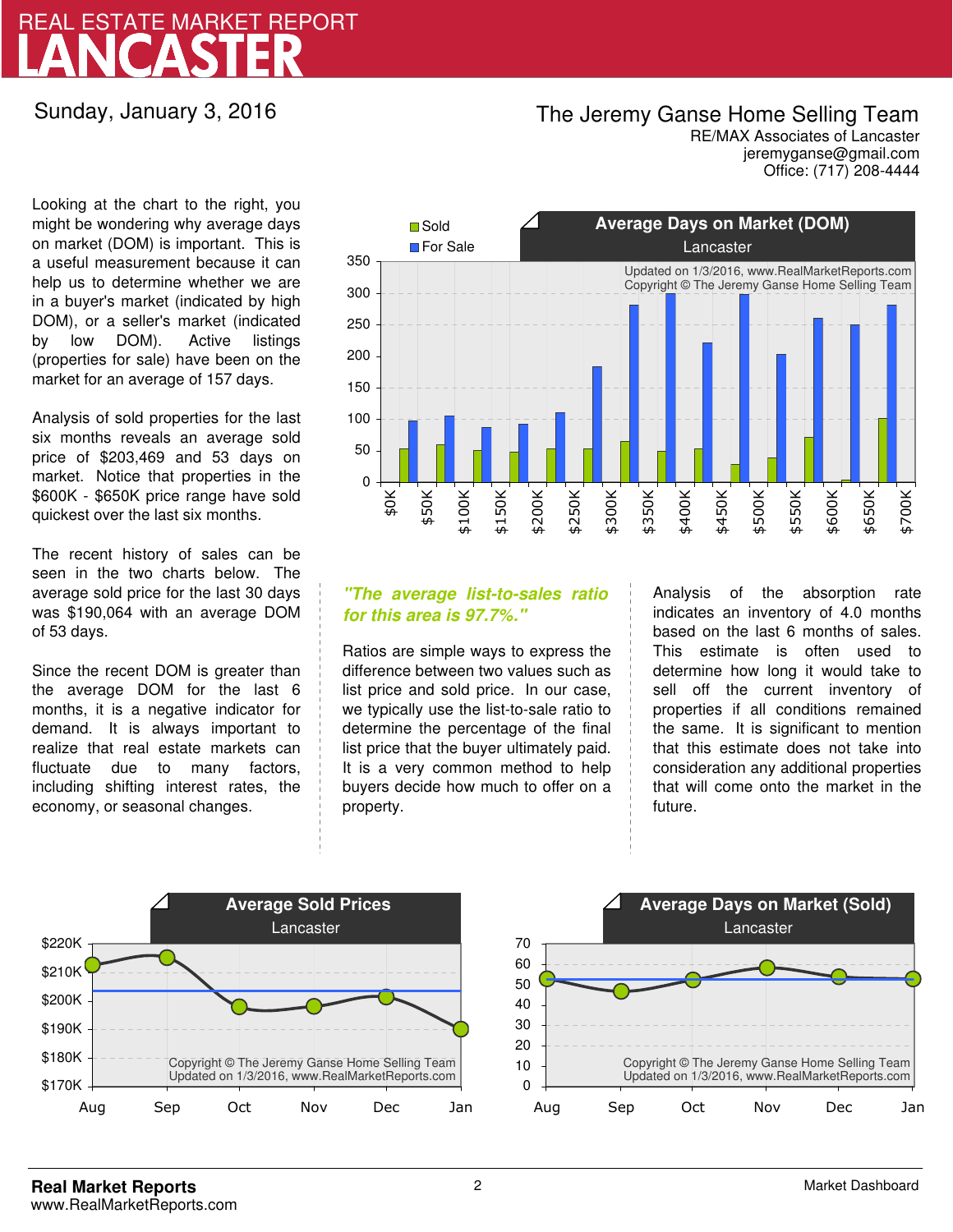# LANCASTER REAL ESTATE MARKET REPORT

### Sunday, January 3, 2016

## The Jeremy Ganse Home Selling Team

jeremyganse@gmail.com RE/MAX Associates of Lancaster Office: (717) 208-4444

Looking at the chart to the right, you might be wondering why average days on market (DOM) is important. This is a useful measurement because it can help us to determine whether we are in a buyer's market (indicated by high DOM), or a seller's market (indicated by low DOM). Active listings (properties for sale) have been on the market for an average of 157 days.

Analysis of sold properties for the last six months reveals an average sold price of \$203,469 and 53 days on market. Notice that properties in the \$600K - \$650K price range have sold quickest over the last six months.

The recent history of sales can be seen in the two charts below. The average sold price for the last 30 days was \$190,064 with an average DOM of 53 days.

Since the recent DOM is greater than the average DOM for the last 6 months, it is a negative indicator for demand. It is always important to realize that real estate markets can fluctuate due to many factors, including shifting interest rates, the economy, or seasonal changes.



### **"The average list-to-sales ratio for this area is 97.7%."**

Ratios are simple ways to express the difference between two values such as list price and sold price. In our case, we typically use the list-to-sale ratio to determine the percentage of the final list price that the buyer ultimately paid. It is a very common method to help buyers decide how much to offer on a property.

Analysis of the absorption rate indicates an inventory of 4.0 months based on the last 6 months of sales. This estimate is often used to determine how long it would take to sell off the current inventory of properties if all conditions remained the same. It is significant to mention that this estimate does not take into consideration any additional properties that will come onto the market in the future.



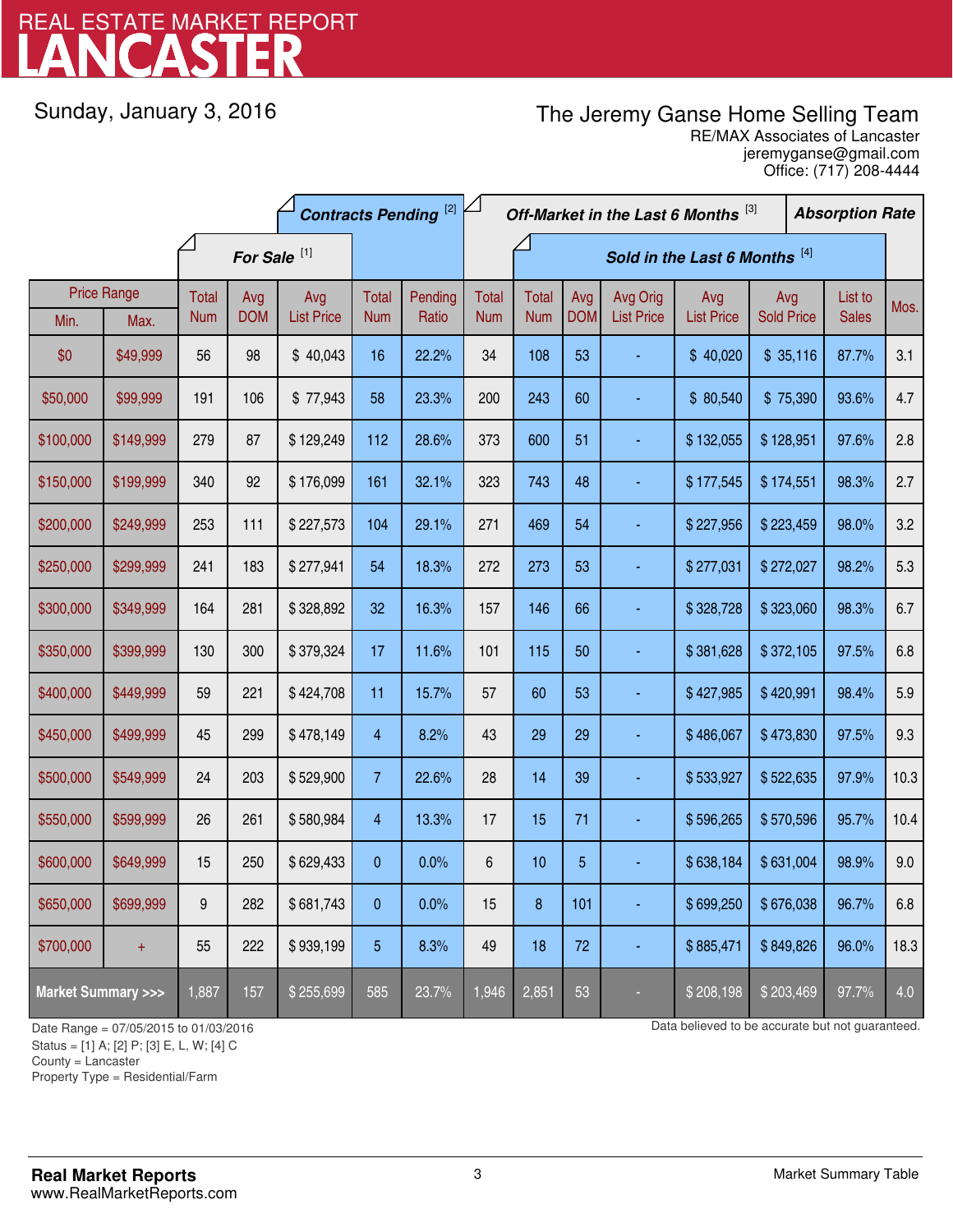# LANCASTER REAL ESTATE MARKET REPORT

Sunday, January 3, 2016

# The Jeremy Ganse Home Selling Team

jeremyganse@gmail.com RE/MAX Associates of Lancaster Office: (717) 208-4444

|                                    |                    | <b>Contracts Pending [2]</b> |                         |                   | Off-Market in the Last 6 Months [3] |         |              |                               |                | <b>Absorption Rate</b> |                   |                   |  |              |      |
|------------------------------------|--------------------|------------------------------|-------------------------|-------------------|-------------------------------------|---------|--------------|-------------------------------|----------------|------------------------|-------------------|-------------------|--|--------------|------|
|                                    |                    |                              | For Sale <sup>[1]</sup> |                   |                                     |         |              | Sold in the Last 6 Months [4] |                |                        |                   |                   |  |              |      |
|                                    | <b>Price Range</b> | Total                        | Avg                     | Avg               | Total                               | Pending | <b>Total</b> | <b>Total</b>                  | Avg            | Avg Orig               | Avg               | Avg               |  | List to      | Mos. |
| Min.                               | Max.               | <b>Num</b>                   | <b>DOM</b>              | <b>List Price</b> | <b>Num</b>                          | Ratio   | <b>Num</b>   | <b>Num</b>                    | <b>DOM</b>     | <b>List Price</b>      | <b>List Price</b> | <b>Sold Price</b> |  | <b>Sales</b> |      |
| \$0                                | \$49,999           | 56                           | 98                      | \$40,043          | 16                                  | 22.2%   | 34           | 108                           | 53             |                        | \$40,020          | \$35,116          |  | 87.7%        | 3.1  |
| \$50,000                           | \$99,999           | 191                          | 106                     | \$77,943          | 58                                  | 23.3%   | 200          | 243                           | 60             |                        | \$80,540          | \$75,390          |  | 93.6%        | 4.7  |
| \$100,000                          | \$149,999          | 279                          | 87                      | \$129,249         | 112                                 | 28.6%   | 373          | 600                           | 51             |                        | \$132,055         | \$128,951         |  | 97.6%        | 2.8  |
| \$150,000                          | \$199,999          | 340                          | 92                      | \$176,099         | 161                                 | 32.1%   | 323          | 743                           | 48             |                        | \$177,545         | \$174,551         |  | 98.3%        | 2.7  |
| \$200,000                          | \$249,999          | 253                          | 111                     | \$227,573         | 104                                 | 29.1%   | 271          | 469                           | 54             |                        | \$227,956         | \$223,459         |  | 98.0%        | 3.2  |
| \$250,000                          | \$299,999          | 241                          | 183                     | \$277,941         | 54                                  | 18.3%   | 272          | 273                           | 53             |                        | \$277,031         | \$272,027         |  | 98.2%        | 5.3  |
| \$300,000                          | \$349,999          | 164                          | 281                     | \$328,892         | 32                                  | 16.3%   | 157          | 146                           | 66             |                        | \$328,728         | \$323,060         |  | 98.3%        | 6.7  |
| \$350,000                          | \$399,999          | 130                          | 300                     | \$379,324         | 17                                  | 11.6%   | 101          | 115                           | 50             |                        | \$381,628         | \$372,105         |  | 97.5%        | 6.8  |
| \$400,000                          | \$449,999          | 59                           | 221                     | \$424,708         | 11                                  | 15.7%   | 57           | 60                            | 53             |                        | \$427,985         | \$420,991         |  | 98.4%        | 5.9  |
| \$450,000                          | \$499,999          | 45                           | 299                     | \$478,149         | 4                                   | 8.2%    | 43           | 29                            | 29             |                        | \$486,067         | \$473,830         |  | 97.5%        | 9.3  |
| \$500,000                          | \$549,999          | 24                           | 203                     | \$529,900         | $7\overline{ }$                     | 22.6%   | 28           | 14                            | 39             |                        | \$533,927         | \$522,635         |  | 97.9%        | 10.3 |
| \$550,000                          | \$599,999          | 26                           | 261                     | \$580,984         | 4                                   | 13.3%   | 17           | 15                            | 71             |                        | \$596,265         | \$570,596         |  | 95.7%        | 10.4 |
| \$600,000                          | \$649,999          | 15                           | 250                     | \$629,433         | 0                                   | 0.0%    | $\,6$        | 10                            | $\overline{5}$ |                        | \$638,184         | \$631,004         |  | 98.9%        | 9.0  |
| \$650,000                          | \$699,999          | 9                            | 282                     | \$681,743         | 0                                   | 0.0%    | 15           | 8                             | 101            |                        | \$699,250         | \$676,038         |  | 96.7%        | 6.8  |
| \$700,000                          | $+$                | 55                           | 222                     | \$939,199         | 5                                   | 8.3%    | 49           | 18                            | 72             |                        | \$885,471         | \$849,826         |  | 96.0%        | 18.3 |
| <b>Market Summary &gt;&gt;&gt;</b> |                    | 1,887                        | 157                     | \$255,699         | 585                                 | 23.7%   | 1,946        | 2,851                         | 53             |                        | \$208,198         | \$203,469         |  | 97.7%        | 4.0  |

Status = [1] A; [2] P; [3] E, L, W; [4] C

County = Lancaster

1

Property Type = Residential/Farm

Date Range = 07/05/2015 to 01/03/2016 Data believed to be accurate but not guaranteed.